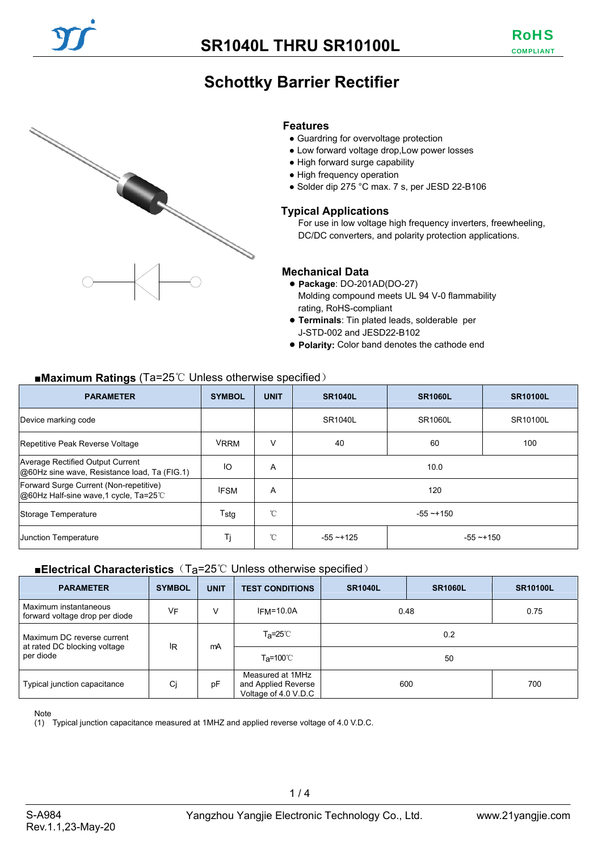# **Schottky Barrier Rectifier**



#### **Features**

- Guardring for overvoltage protection
- Low forward voltage drop, Low power losses
- High forward surge capability
- High frequency operation
- Solder dip 275 °C max. 7 s, per JESD 22-B106

#### **Typical Applications**

For use in low voltage high frequency inverters, freewheeling, DC/DC converters, and polarity protection applications.

#### **Mechanical Data**

- **Package**: DO-201AD(DO-27) Molding compound meets UL 94 V-0 flammability rating, RoHS-compliant
- **Terminals**: Tin plated leads, solderable per J-STD-002 and JESD22-B102
- **Polarity:** Color band denotes the cathode end

#### ■**Maximum Ratings** (Ta=25<sup>°</sup>C Unless otherwise specified)

| <b>PARAMETER</b>                                                                        | <b>SYMBOL</b> | <b>UNIT</b> | <b>SR1040L</b><br><b>SR1060L</b> |  | <b>SR10100L</b> |
|-----------------------------------------------------------------------------------------|---------------|-------------|----------------------------------|--|-----------------|
| Device marking code                                                                     |               |             | SR1040L<br>SR1060L               |  | SR10100L        |
| Repetitive Peak Reverse Voltage                                                         | <b>VRRM</b>   | v           | 60<br>40                         |  | 100             |
| <b>Average Rectified Output Current</b><br>@60Hz sine wave, Resistance load, Ta (FIG.1) | ΙO            | A           | 10.0                             |  |                 |
| Forward Surge Current (Non-repetitive)<br>@60Hz Half-sine wave, 1 cycle, Ta=25°C        | <b>IFSM</b>   | A           | 120                              |  |                 |
| Storage Temperature                                                                     | Tstg          | °C          | $-55 - 150$                      |  |                 |
| Junction Temperature                                                                    | Tj            | °C          | $-55 - 125$<br>$-55 - +150$      |  |                 |

#### ■**Electrical Characteristics** (T<sub>a</sub>=25℃ Unless otherwise specified)

| <b>PARAMETER</b>                                           | <b>SYMBOL</b> | <b>UNIT</b> | <b>TEST CONDITIONS</b>                                          | <b>SR1040L</b> | <b>SR1060L</b> | <b>SR10100L</b> |
|------------------------------------------------------------|---------------|-------------|-----------------------------------------------------------------|----------------|----------------|-----------------|
| Maximum instantaneous<br>forward voltage drop per diode    | <b>VF</b>     | V           | $IFM=10.0A$                                                     | 0.48           |                | 0.75            |
| Maximum DC reverse current<br>at rated DC blocking voltage | IR            | mA          | T <sub>a</sub> =25℃                                             | 0.2            |                |                 |
| per diode                                                  |               |             | T <sub>a</sub> =100℃                                            | 50             |                |                 |
| Typical junction capacitance                               | Ci            | рF          | Measured at 1MHz<br>and Applied Reverse<br>Voltage of 4.0 V.D.C | 700<br>600     |                |                 |

Note

(1) Typical junction capacitance measured at 1MHZ and applied reverse voltage of 4.0 V.D.C.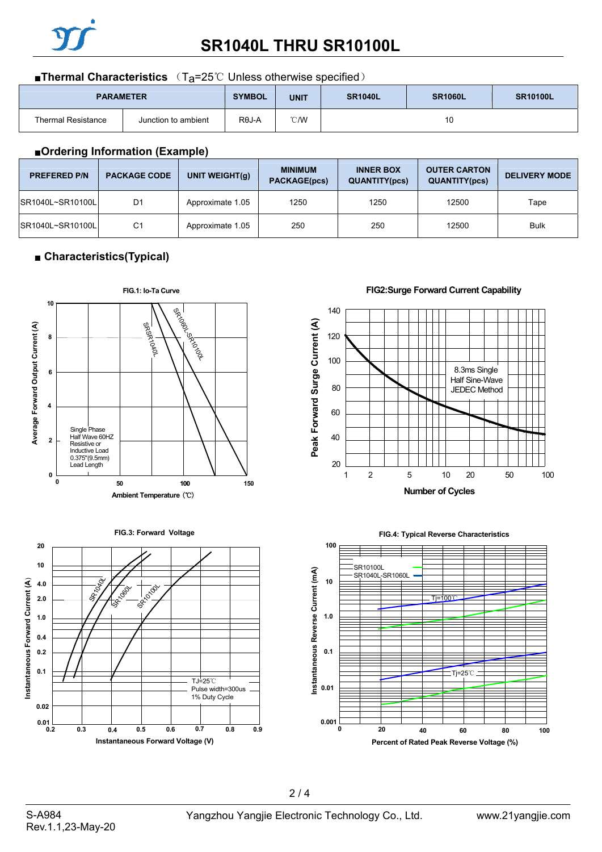

# **SR1040L THRU SR10100L**

#### ■**Thermal Characteristics** (T<sub>a</sub>=25℃ Unless otherwise specified)

| <b>PARAMETER</b>          |                     | <b>SYMBOL</b> | <b>UNIT</b> | <b>SR1040L</b> | <b>SR1060L</b> | <b>SR10100L</b> |
|---------------------------|---------------------|---------------|-------------|----------------|----------------|-----------------|
| <b>Thermal Resistance</b> | Junction to ambient | $R\theta J-A$ | °C/W        | 10             |                |                 |

#### ■**Ordering Information (Example)**

| <b>PREFERED P/N</b> | <b>PACKAGE CODE</b> | UNIT WEIGHT $(q)$ | <b>MINIMUM</b><br><b>PACKAGE(pcs)</b> | <b>INNER BOX</b><br><b>QUANTITY(pcs)</b> | <b>OUTER CARTON</b><br><b>QUANTITY(pcs)</b> | <b>DELIVERY MODE</b> |
|---------------------|---------------------|-------------------|---------------------------------------|------------------------------------------|---------------------------------------------|----------------------|
| SR1040L~SR10100LL   | D <sub>1</sub>      | Approximate 1.05  | 1250                                  | 1250                                     | 12500                                       | Tape                 |
| SR1040L~SR10100L    | C <sub>1</sub>      | Approximate 1.05  | 250                                   | 250                                      | 12500                                       | <b>Bulk</b>          |

### ■ **Characteristics(Typical)**







140



**FIG2:Surge Forward Current Capability**



**FIG.4: Typical Reverse Characteristics**

### $2/4$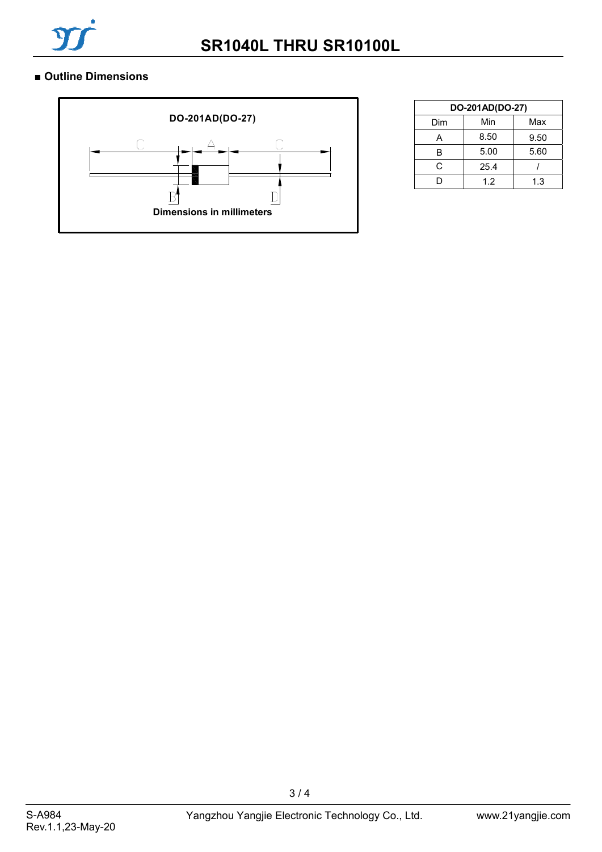

### ■ **Outline Dimensions**



| DO-201AD(DO-27) |      |      |  |  |  |
|-----------------|------|------|--|--|--|
| Dim             | Min  | Max  |  |  |  |
| А               | 8.50 | 9.50 |  |  |  |
| B               | 5.00 | 5.60 |  |  |  |
| C.              | 25.4 |      |  |  |  |
|                 | 1.2  | 1.3  |  |  |  |